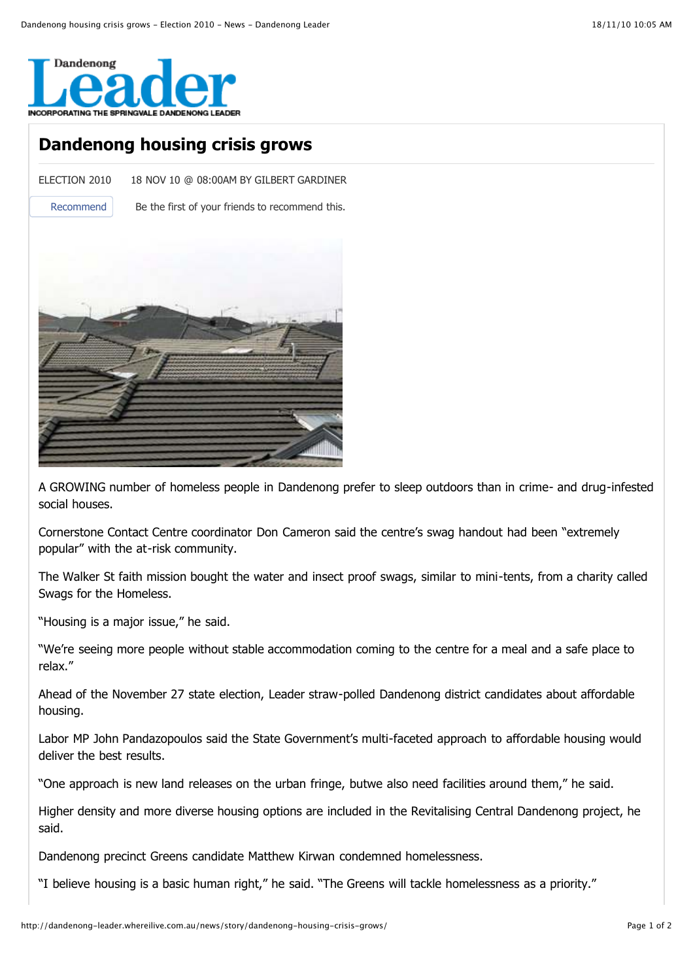

## **Dandenong housing crisis grows**

ELECTION 2010 18 NOV 10 @ 08:00AM BY GILBERT GARDINER

Recommend Be the first of your friends to recommend this.



A GROWING number of homeless people in Dandenong prefer to sleep outdoors than in crime- and drug-infested social houses.

Cornerstone Contact Centre coordinator Don Cameron said the centre's swag handout had been "extremely popular" with the at-risk community.

The Walker St faith mission bought the water and insect proof swags, similar to mini-tents, from a charity called Swags for the Homeless.

"Housing is a major issue," he said.

"We're seeing more people without stable accommodation coming to the centre for a meal and a safe place to relax."

Ahead of the November 27 state election, Leader straw-polled Dandenong district candidates about affordable housing.

Labor MP John Pandazopoulos said the State Government's multi-faceted approach to affordable housing would deliver the best results.

"One approach is new land releases on the urban fringe, butwe also need facilities around them," he said.

Higher density and more diverse housing options are included in the Revitalising Central Dandenong project, he said.

Dandenong precinct Greens candidate Matthew Kirwan condemned homelessness.

"I believe housing is a basic human right," he said. "The Greens will tackle homelessness as a priority."